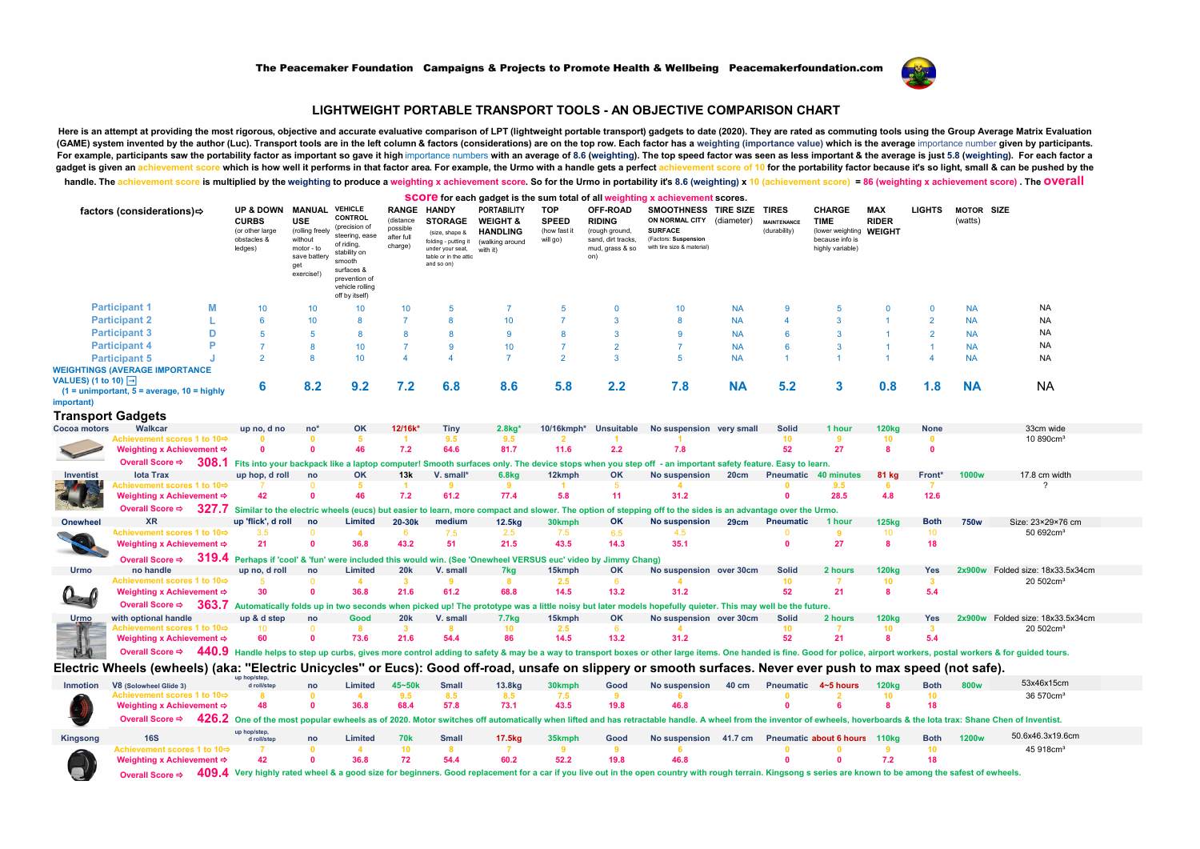

## **LIGHTWEIGHT PORTABLE TRANSPORT TOOLS - AN OBJECTIVE COMPARISON CHART**

Here is an attempt at providing the most rigorous, objective and accurate evaluative comparison of LPT (lightweight portable transport) gadgets to date (2020). They are rated as commuting tools using the Group Average Matr (GAME) system invented by the author (Luc). Transport tools are in the left column & factors (considerations) are on the top row. Each factor has a weighting (importance value) which is the average importance number given Example, participants saw the portability factor as important so gave it high importance numbers with an average of 8.6 (weighting). The top speed factor was seen as less important & the average is just 5.8 (weighting). Fo gadget is given an achievement score which is how well it performs in that factor area. For example, the Urmo with a handle gets a perfect achievement score of 10 for the portability factor because it's so light, small & c

handle The achievement score is multiplied by the weighting to produce a weighting x achievement score. So for the Urmo in portability it's 8.6 (weighting) x 10 (achievement score) = 86 (weighting x achievement score) = 86 **score for each gadget is the sum total of all weighting x achievement scores.**

| <b>VEHICLE</b><br><b>MANUAL</b><br>OFF-ROAD<br><b>LIGHTS</b><br><b>UP &amp; DOWN</b><br><b>RANGE</b><br><b>PORTABILITY</b><br><b>TOP</b><br>SMOOTHNESS TIRE SIZE TIRES<br><b>CHARGE</b><br><b>MAX</b><br><b>MOTOR SIZE</b><br>factors (considerations)<br><b>HANDY</b><br>CONTROL<br><b>USE</b><br><b>RIDER</b><br>(distance<br><b>WEIGHT &amp;</b><br><b>SPEED</b><br><b>RIDING</b><br>ON NORMAL CITY<br><b>CURBS</b><br><b>STORAGE</b><br><b>TIME</b><br>(watts)<br>(diameter)<br><b>MAINTENANCE</b><br>(precision of<br>possible<br>(or other large<br>(rolling freely<br>(how fast it<br>(rough ground,<br><b>SURFACE</b><br>(durability)<br>(lower weighting WEIGHT<br><b>HANDLING</b><br>(size shape &<br>steering, ease<br>after full<br>obstacles &<br>without<br>because info is<br>will go)<br>sand, dirt tracks,<br>(Factors: Suspension<br>folding - putting it<br>(walking around<br>of riding,<br>charge)<br>with tire size & material)<br>highly variable)<br>ledges)<br>motor - to<br>mud, grass & so<br>under your seat,<br>with it)<br>stability on<br>save battery<br>on)<br>table or in the attic<br>smooth<br>and so on)<br>get<br>surfaces &<br>exercise!)<br>prevention of<br>vehicle rolling<br>off by itself)<br><b>Participant 1</b><br>M<br><b>NA</b><br>10<br>10<br>10 <sup>1</sup><br><b>NA</b><br>10<br>5<br>-7<br>5<br>10<br><b>NA</b><br>9<br>5<br>$\mathbf 0$<br>$\Omega$<br><b>Participant 2</b><br>6<br>$\overline{7}$<br>$\overline{ }$<br>3<br><b>NA</b><br>10<br>8<br>10 <sub>1</sub><br>8<br><b>NA</b><br>$\overline{2}$<br><b>NA</b><br>Δ<br><b>Participant 3</b><br>D<br><b>NA</b><br>5<br>$\mathbf{Q}$<br>8<br>8<br>R<br>٥<br><b>NA</b><br>6<br>3<br><b>NA</b><br>5<br>$\overline{\mathbf{2}}$<br><b>Participant 4</b><br>D<br><b>NA</b><br>$\overline{7}$<br>10<br>6<br>3<br><b>NA</b><br>10<br>$\overline{7}$<br>9<br><b>NA</b><br>R<br><b>Participant 5</b><br>$\overline{2}$<br>8<br>10<br>$\overline{7}$<br>$\overline{2}$<br>5<br><b>NA</b><br>$\overline{1}$<br><b>NA</b><br><b>NA</b><br>Δ<br>Δ<br>3<br>1<br><b>WEIGHTINGS (AVERAGE IMPORTANCE</b><br>VALUES) (1 to 10) $\boxed{\rightarrow}$<br>8.2<br>7.2<br>6.8<br>2.2<br>5.2<br>3<br><b>NA</b><br>6<br>9.2<br>8.6<br>5.8<br>7.8<br><b>NA</b><br>0.8<br>1.8<br><b>NA</b><br>$(1 =$ unimportant, $5 =$ average, $10 =$ highly<br>important)<br><b>Transport Gadgets</b><br>12/16k <sup>*</sup><br><b>Cocoa</b> motors<br>Walkcar<br>OK<br>2.8 <sub>ka</sub><br>10/16kmph*<br><b>Unsuitable</b><br>No suspension very small<br><b>Solid</b><br><b>120kg</b><br>33cm wide<br>up no, d no<br>$no*$<br>Tiny<br>1 hour<br><b>None</b><br>10 890cm <sup>3</sup><br>Achievement scores 1 to 10¢<br>9.5<br>9.5<br>10<br>$\blacktriangleleft$<br>9<br>10<br>$\Omega$<br>Б<br>46<br>7.2<br>64.6<br>81.7<br>2.2<br>7.8<br>52<br>27<br>Weighting x Achievement <><br>$\sqrt{2}$<br>11.6<br>8<br>$\mathbf{0}$<br>Overall Score ⇒<br>308.1<br>Fits into your backpack like a laptop computer! Smooth surfaces only. The device stops when you step off - an important safety feature. Easy to learn.<br>Inventist<br><b>lota Trax</b><br>OK<br>13k<br>V. small <sup>*</sup><br><b>6.8kg</b><br>12kmph<br>OK<br>No suspension<br><b>81 kg</b><br>17.8 cm width<br>up hop, d roll<br>no<br>20cm<br><b>Pneumatic</b><br>minutes<br>Front*<br>1000 <sub>w</sub><br>Achievement scores 1 to 10⇔<br>9<br>2<br>Б<br>$\blacktriangleleft$<br>9<br>9.5<br>-7<br>n<br>6<br>46<br>7.2<br>61.2<br>77.4<br>5.8<br>31.2<br>28.5<br>12.6<br>Weighting x Achievement <b>⇒</b><br>$\sqrt{2}$<br>11<br>$\mathbf{0}$<br>4.8<br>42<br>327.7<br>Overall Score ⇒<br>Similar to the electric wheels (eucs) but easier to learn, more compact and slower. The option of stepping off to the sides is an advantage over the Urmo.<br>up 'flick', d roll<br>Onewheel<br>Limited<br>20-30k<br>medium<br>OK<br><b>125kg</b><br>Size: 23×29×76 cm<br><b>XR</b><br>no<br>12.5kg<br>30kmph<br>No suspension<br>29cm<br><b>Pneumatic</b><br>1 hour<br><b>Both</b><br>750w<br>50 692cm <sup>3</sup><br>Achievement scores 1 to 10⇔<br>3.5<br>6<br>2.5<br>7.5<br>10 <sup>10</sup><br>10 <sup>10</sup><br>$\Omega$<br>7.5<br>6.5<br>4.5<br>4<br>n<br>9<br>43.2<br>35.1<br>27<br>Weighting x Achievement ⇒<br>21<br>$\mathbf{a}$<br>36.8<br>51<br>21.5<br>43.5<br>14.3<br>$\mathbf{a}$<br>18<br>8<br>319.4 Perhaps if 'cool' & 'fun' were included this would win. (See 'Onewheel VERSUS euc' video by Jimmy Chang)<br>Overall Score <b>→</b><br><b>Urmo</b><br>no handle<br>Limited<br><b>20k</b><br>15kmph<br>OK<br><b>Solid</b><br><b>120kg</b><br>2x900w Folded size: 18x33.5x34cm<br>up no, d roll<br>no<br>V. small<br>7kg<br>No suspension over 30cm<br>2 hours<br>Yes<br>Achievement scores 1 to 10⇔<br>$\overline{\mathbf{3}}$<br>10<br>20 502cm <sup>3</sup><br>$\Omega$<br>$\mathbf{9}$<br>8<br>2.5<br>10<br>$\mathbf{3}$<br>$\blacktriangle$<br>6<br>Weighting x Achievement →<br>30<br>36.8<br>21.6<br>61.2<br>68.8<br>14.5<br>13.2<br>31.2<br>52<br>5.4<br>$\sqrt{2}$<br>21<br>$\mathbf{R}$<br>363.7 Automatically folds up in two seconds when picked up! The prototype was a little noisy but later models hopefully quieter. This may well be the future<br>Overall Score <b>→</b><br>with optional handle<br>20k<br>V. small<br><b>7.7kg</b><br>15kmph<br>OK<br>No suspension over 30cm<br><b>Solid</b><br><b>120kg</b><br><b>Urmo</b><br>up & d step<br>Good<br>Yes<br>2x900w Folded size: 18x33.5x34cm<br>no<br>2 hours<br>2.5<br>$\overline{\mathbf{3}}$<br>10<br>10<br>10<br>20 502cm <sup>3</sup><br>Achievement scores 1 to 10⇔<br>$\Omega$<br>8<br>я<br>6<br>-3<br>73.6<br>21.6<br>54.4<br>86<br>13.2<br>31.2<br>52<br>21<br>5.4<br>Weighting x Achievement <a><br/>60<br/><math>\sqrt{2}</math><br/>14.5<br/>8<br/>Overall Score <b>⇒</b><br/>440.9 Handle helps to step up curbs, gives more control adding to safety &amp; may be a way to transport boxes or other large items. One handed is fine. Good for police, airport workers, postal workers &amp; for guided tours.<br/>Electric Wheels (ewheels) (aka: "Electric Unicycles" or Eucs): Good off-road, unsafe on slippery or smooth surfaces. Never ever push to max speed (not safe).<br/>up hop/step,<br/>53x46x15cm<br/>Inmotion<br/>V8 (Solowheel Glide 3)<br/>Limited<br/>45~50k<br/><b>Small</b><br/>13.8kg<br/>30kmph<br/>No suspension 40 cm<br/>Pneumatic 4~5 hours<br/><b>120kg</b><br/><b>Both</b><br/>800w<br/>no<br/>Good<br/>d roll/step<br/>Achievement scores 1 to 10⇔<br/>9.5<br/>8.5<br/>8.5<br/>7.5<br/>10<sup>1</sup><br/>10<br/>36 570cm<sup>3</sup><br/>9<br/>n<br/>Δ<br/>48<br/>36.8<br/>68.4<br/>57.8<br/>73.1<br/>43.5<br/>19.8<br/>46.8<br/>6<br/>18<br/>Weighting x Achievement ⇒<br/><math>\sqrt{2}</math><br/><math>\mathbf{0}</math><br/><math>\mathbf{R}</math><br/>426.2<br/>Overall Score ⇒<br/>One of the most popular ewheels as of 2020. Motor switches off automatically when lifted and has retractable handle. A wheel from the inventor of ewheels, hoverboards &amp; the lota trax: Shane Chen of Inventist.<br/>up hop/step<br/>50.6x46.3x19.6cm<br/><b>1200w</b><br/><b>16S</b><br/>Limited<br/><b>70k</b><br/>17.5kg<br/>35kmph<br/>No suspension 41.7 cm Pneumatic about 6 hours<br/><b>Both</b><br/>Kingsong<br/><b>Small</b><br/>Good<br/><b>110kg</b><br/>no<br/>d roll/step<br/>45 918cm<sup>3</sup><br/>10<br/>9<br/><math>\mathbf{q}</math><br/>10<br/>Achievement scores 1 to 10中<br/><math>\Omega</math><br/>-8<br/>9<br/><math>\Delta</math><br/>36.8<br/>72<br/>54.4<br/>60.2<br/>52.2<br/>19.8<br/>46.8<br/>7.2<br/>18<br/>Weighting x Achievement ⇒<br/>42<br/><math>\mathbf{0}</math><br/>n<br/>409.4 Very highly rated wheel &amp; a good size for beginners. Good replacement for a car if you live out in the open country with rough terrain. Kingsong s series are known to be among the safest of ewheels.<br/>Overall Score <b>→</b></a> |  |  |  |  |  |  |  |  |  |  |  | $\overline{\mathbf{S}\mathbf{C}\mathbf{O}\mathbf{I}}$ or each gauget is the sum total or an weighting x achievement scores. |  |  |  |  |
|--------------------------------------------------------------------------------------------------------------------------------------------------------------------------------------------------------------------------------------------------------------------------------------------------------------------------------------------------------------------------------------------------------------------------------------------------------------------------------------------------------------------------------------------------------------------------------------------------------------------------------------------------------------------------------------------------------------------------------------------------------------------------------------------------------------------------------------------------------------------------------------------------------------------------------------------------------------------------------------------------------------------------------------------------------------------------------------------------------------------------------------------------------------------------------------------------------------------------------------------------------------------------------------------------------------------------------------------------------------------------------------------------------------------------------------------------------------------------------------------------------------------------------------------------------------------------------------------------------------------------------------------------------------------------------------------------------------------------------------------------------------------------------------------------------------------------------------------------------------------------------------------------------------------------------------------------------------------------------------------------------------------------------------------------------------------------------------------------------------------------------------------------------------------------------------------------------------------------------------------------------------------------------------------------------------------------------------------------------------------------------------------------------------------------------------------------------------------------------------------------------------------------------------------------------------------------------------------------------------------------------------------------------------------------------------------------------------------------------------------------------------------------------------------------------------------------------------------------------------------------------------------------------------------------------------------------------------------------------------------------------------------------------------------------------------------------------------------------------------------------------------------------------------------------------------------------------------------------------------------------------------------------------------------------------------------------------------------------------------------------------------------------------------------------------------------------------------------------------------------------------------------------------------------------------------------------------------------------------------------------------------------------------------------------------------------------------------------------------------------------------------------------------------------------------------------------------------------------------------------------------------------------------------------------------------------------------------------------------------------------------------------------------------------------------------------------------------------------------------------------------------------------------------------------------------------------------------------------------------------------------------------------------------------------------------------------------------------------------------------------------------------------------------------------------------------------------------------------------------------------------------------------------------------------------------------------------------------------------------------------------------------------------------------------------------------------------------------------------------------------------------------------------------------------------------------------------------------------------------------------------------------------------------------------------------------------------------------------------------------------------------------------------------------------------------------------------------------------------------------------------------------------------------------------------------------------------------------------------------------------------------------------------------------------------------------------------------------------------------------------------------------------------------------------------------------------------------------------------------------------------------------------------------------------------------------------------------------------------------------------------------------------------------------------------------------------------------------------------------------------------------------------------------------------------------------------------------------------------------------------------------------------------------------------------------------------------------------------------------------------------------------------------------------------------------------------------------------------------------------------------------------------------------------------------------------------------------------------------------------------------------------------------------------------------------------------------------------------------------------------------------------------------------------------------------------------------------------------------------------------------------------------------------------------------------------------------------------------------------------------------------------------------------------------------------------------------------------------------------------------------------------------------------------------------------------------------------------------------------------------------------------------------------------------------------------------------------------------------------------------------------------------------------------------------------------------------------------------------------------------------------------------------------------------------------------------------------------------------------------------------------------------------------------------------------------------------------------------------------------------------------------------------------------------------------------------------------------------------------------------------------------------------------------------------------------------------------------------------------------------------------------------------------------------------------------------------------------------------------------------------------------------------------------------------------------------------------------------------------------------------------------------------------------------------------------------|--|--|--|--|--|--|--|--|--|--|--|-----------------------------------------------------------------------------------------------------------------------------|--|--|--|--|
|                                                                                                                                                                                                                                                                                                                                                                                                                                                                                                                                                                                                                                                                                                                                                                                                                                                                                                                                                                                                                                                                                                                                                                                                                                                                                                                                                                                                                                                                                                                                                                                                                                                                                                                                                                                                                                                                                                                                                                                                                                                                                                                                                                                                                                                                                                                                                                                                                                                                                                                                                                                                                                                                                                                                                                                                                                                                                                                                                                                                                                                                                                                                                                                                                                                                                                                                                                                                                                                                                                                                                                                                                                                                                                                                                                                                                                                                                                                                                                                                                                                                                                                                                                                                                                                                                                                                                                                                                                                                                                                                                                                                                                                                                                                                                                                                                                                                                                                                                                                                                                                                                                                                                                                                                                                                                                                                                                                                                                                                                                                                                                                                                                                                                                                                                                                                                                                                                                                                                                                                                                                                                                                                                                                                                                                                                                                                                                                                                                                                                                                                                                                                                                                                                                                                                                                                                                                                                                                                                                                                                                                                                                                                                                                                                                                                                                                                                                                                                                                                                                                                                                                                                                                                                                                                                                                                                                                                                                                                                  |  |  |  |  |  |  |  |  |  |  |  |                                                                                                                             |  |  |  |  |
|                                                                                                                                                                                                                                                                                                                                                                                                                                                                                                                                                                                                                                                                                                                                                                                                                                                                                                                                                                                                                                                                                                                                                                                                                                                                                                                                                                                                                                                                                                                                                                                                                                                                                                                                                                                                                                                                                                                                                                                                                                                                                                                                                                                                                                                                                                                                                                                                                                                                                                                                                                                                                                                                                                                                                                                                                                                                                                                                                                                                                                                                                                                                                                                                                                                                                                                                                                                                                                                                                                                                                                                                                                                                                                                                                                                                                                                                                                                                                                                                                                                                                                                                                                                                                                                                                                                                                                                                                                                                                                                                                                                                                                                                                                                                                                                                                                                                                                                                                                                                                                                                                                                                                                                                                                                                                                                                                                                                                                                                                                                                                                                                                                                                                                                                                                                                                                                                                                                                                                                                                                                                                                                                                                                                                                                                                                                                                                                                                                                                                                                                                                                                                                                                                                                                                                                                                                                                                                                                                                                                                                                                                                                                                                                                                                                                                                                                                                                                                                                                                                                                                                                                                                                                                                                                                                                                                                                                                                                                                  |  |  |  |  |  |  |  |  |  |  |  |                                                                                                                             |  |  |  |  |
|                                                                                                                                                                                                                                                                                                                                                                                                                                                                                                                                                                                                                                                                                                                                                                                                                                                                                                                                                                                                                                                                                                                                                                                                                                                                                                                                                                                                                                                                                                                                                                                                                                                                                                                                                                                                                                                                                                                                                                                                                                                                                                                                                                                                                                                                                                                                                                                                                                                                                                                                                                                                                                                                                                                                                                                                                                                                                                                                                                                                                                                                                                                                                                                                                                                                                                                                                                                                                                                                                                                                                                                                                                                                                                                                                                                                                                                                                                                                                                                                                                                                                                                                                                                                                                                                                                                                                                                                                                                                                                                                                                                                                                                                                                                                                                                                                                                                                                                                                                                                                                                                                                                                                                                                                                                                                                                                                                                                                                                                                                                                                                                                                                                                                                                                                                                                                                                                                                                                                                                                                                                                                                                                                                                                                                                                                                                                                                                                                                                                                                                                                                                                                                                                                                                                                                                                                                                                                                                                                                                                                                                                                                                                                                                                                                                                                                                                                                                                                                                                                                                                                                                                                                                                                                                                                                                                                                                                                                                                                  |  |  |  |  |  |  |  |  |  |  |  |                                                                                                                             |  |  |  |  |
|                                                                                                                                                                                                                                                                                                                                                                                                                                                                                                                                                                                                                                                                                                                                                                                                                                                                                                                                                                                                                                                                                                                                                                                                                                                                                                                                                                                                                                                                                                                                                                                                                                                                                                                                                                                                                                                                                                                                                                                                                                                                                                                                                                                                                                                                                                                                                                                                                                                                                                                                                                                                                                                                                                                                                                                                                                                                                                                                                                                                                                                                                                                                                                                                                                                                                                                                                                                                                                                                                                                                                                                                                                                                                                                                                                                                                                                                                                                                                                                                                                                                                                                                                                                                                                                                                                                                                                                                                                                                                                                                                                                                                                                                                                                                                                                                                                                                                                                                                                                                                                                                                                                                                                                                                                                                                                                                                                                                                                                                                                                                                                                                                                                                                                                                                                                                                                                                                                                                                                                                                                                                                                                                                                                                                                                                                                                                                                                                                                                                                                                                                                                                                                                                                                                                                                                                                                                                                                                                                                                                                                                                                                                                                                                                                                                                                                                                                                                                                                                                                                                                                                                                                                                                                                                                                                                                                                                                                                                                                  |  |  |  |  |  |  |  |  |  |  |  |                                                                                                                             |  |  |  |  |
|                                                                                                                                                                                                                                                                                                                                                                                                                                                                                                                                                                                                                                                                                                                                                                                                                                                                                                                                                                                                                                                                                                                                                                                                                                                                                                                                                                                                                                                                                                                                                                                                                                                                                                                                                                                                                                                                                                                                                                                                                                                                                                                                                                                                                                                                                                                                                                                                                                                                                                                                                                                                                                                                                                                                                                                                                                                                                                                                                                                                                                                                                                                                                                                                                                                                                                                                                                                                                                                                                                                                                                                                                                                                                                                                                                                                                                                                                                                                                                                                                                                                                                                                                                                                                                                                                                                                                                                                                                                                                                                                                                                                                                                                                                                                                                                                                                                                                                                                                                                                                                                                                                                                                                                                                                                                                                                                                                                                                                                                                                                                                                                                                                                                                                                                                                                                                                                                                                                                                                                                                                                                                                                                                                                                                                                                                                                                                                                                                                                                                                                                                                                                                                                                                                                                                                                                                                                                                                                                                                                                                                                                                                                                                                                                                                                                                                                                                                                                                                                                                                                                                                                                                                                                                                                                                                                                                                                                                                                                                  |  |  |  |  |  |  |  |  |  |  |  |                                                                                                                             |  |  |  |  |
|                                                                                                                                                                                                                                                                                                                                                                                                                                                                                                                                                                                                                                                                                                                                                                                                                                                                                                                                                                                                                                                                                                                                                                                                                                                                                                                                                                                                                                                                                                                                                                                                                                                                                                                                                                                                                                                                                                                                                                                                                                                                                                                                                                                                                                                                                                                                                                                                                                                                                                                                                                                                                                                                                                                                                                                                                                                                                                                                                                                                                                                                                                                                                                                                                                                                                                                                                                                                                                                                                                                                                                                                                                                                                                                                                                                                                                                                                                                                                                                                                                                                                                                                                                                                                                                                                                                                                                                                                                                                                                                                                                                                                                                                                                                                                                                                                                                                                                                                                                                                                                                                                                                                                                                                                                                                                                                                                                                                                                                                                                                                                                                                                                                                                                                                                                                                                                                                                                                                                                                                                                                                                                                                                                                                                                                                                                                                                                                                                                                                                                                                                                                                                                                                                                                                                                                                                                                                                                                                                                                                                                                                                                                                                                                                                                                                                                                                                                                                                                                                                                                                                                                                                                                                                                                                                                                                                                                                                                                                                  |  |  |  |  |  |  |  |  |  |  |  |                                                                                                                             |  |  |  |  |
|                                                                                                                                                                                                                                                                                                                                                                                                                                                                                                                                                                                                                                                                                                                                                                                                                                                                                                                                                                                                                                                                                                                                                                                                                                                                                                                                                                                                                                                                                                                                                                                                                                                                                                                                                                                                                                                                                                                                                                                                                                                                                                                                                                                                                                                                                                                                                                                                                                                                                                                                                                                                                                                                                                                                                                                                                                                                                                                                                                                                                                                                                                                                                                                                                                                                                                                                                                                                                                                                                                                                                                                                                                                                                                                                                                                                                                                                                                                                                                                                                                                                                                                                                                                                                                                                                                                                                                                                                                                                                                                                                                                                                                                                                                                                                                                                                                                                                                                                                                                                                                                                                                                                                                                                                                                                                                                                                                                                                                                                                                                                                                                                                                                                                                                                                                                                                                                                                                                                                                                                                                                                                                                                                                                                                                                                                                                                                                                                                                                                                                                                                                                                                                                                                                                                                                                                                                                                                                                                                                                                                                                                                                                                                                                                                                                                                                                                                                                                                                                                                                                                                                                                                                                                                                                                                                                                                                                                                                                                                  |  |  |  |  |  |  |  |  |  |  |  |                                                                                                                             |  |  |  |  |
|                                                                                                                                                                                                                                                                                                                                                                                                                                                                                                                                                                                                                                                                                                                                                                                                                                                                                                                                                                                                                                                                                                                                                                                                                                                                                                                                                                                                                                                                                                                                                                                                                                                                                                                                                                                                                                                                                                                                                                                                                                                                                                                                                                                                                                                                                                                                                                                                                                                                                                                                                                                                                                                                                                                                                                                                                                                                                                                                                                                                                                                                                                                                                                                                                                                                                                                                                                                                                                                                                                                                                                                                                                                                                                                                                                                                                                                                                                                                                                                                                                                                                                                                                                                                                                                                                                                                                                                                                                                                                                                                                                                                                                                                                                                                                                                                                                                                                                                                                                                                                                                                                                                                                                                                                                                                                                                                                                                                                                                                                                                                                                                                                                                                                                                                                                                                                                                                                                                                                                                                                                                                                                                                                                                                                                                                                                                                                                                                                                                                                                                                                                                                                                                                                                                                                                                                                                                                                                                                                                                                                                                                                                                                                                                                                                                                                                                                                                                                                                                                                                                                                                                                                                                                                                                                                                                                                                                                                                                                                  |  |  |  |  |  |  |  |  |  |  |  |                                                                                                                             |  |  |  |  |
|                                                                                                                                                                                                                                                                                                                                                                                                                                                                                                                                                                                                                                                                                                                                                                                                                                                                                                                                                                                                                                                                                                                                                                                                                                                                                                                                                                                                                                                                                                                                                                                                                                                                                                                                                                                                                                                                                                                                                                                                                                                                                                                                                                                                                                                                                                                                                                                                                                                                                                                                                                                                                                                                                                                                                                                                                                                                                                                                                                                                                                                                                                                                                                                                                                                                                                                                                                                                                                                                                                                                                                                                                                                                                                                                                                                                                                                                                                                                                                                                                                                                                                                                                                                                                                                                                                                                                                                                                                                                                                                                                                                                                                                                                                                                                                                                                                                                                                                                                                                                                                                                                                                                                                                                                                                                                                                                                                                                                                                                                                                                                                                                                                                                                                                                                                                                                                                                                                                                                                                                                                                                                                                                                                                                                                                                                                                                                                                                                                                                                                                                                                                                                                                                                                                                                                                                                                                                                                                                                                                                                                                                                                                                                                                                                                                                                                                                                                                                                                                                                                                                                                                                                                                                                                                                                                                                                                                                                                                                                  |  |  |  |  |  |  |  |  |  |  |  |                                                                                                                             |  |  |  |  |
|                                                                                                                                                                                                                                                                                                                                                                                                                                                                                                                                                                                                                                                                                                                                                                                                                                                                                                                                                                                                                                                                                                                                                                                                                                                                                                                                                                                                                                                                                                                                                                                                                                                                                                                                                                                                                                                                                                                                                                                                                                                                                                                                                                                                                                                                                                                                                                                                                                                                                                                                                                                                                                                                                                                                                                                                                                                                                                                                                                                                                                                                                                                                                                                                                                                                                                                                                                                                                                                                                                                                                                                                                                                                                                                                                                                                                                                                                                                                                                                                                                                                                                                                                                                                                                                                                                                                                                                                                                                                                                                                                                                                                                                                                                                                                                                                                                                                                                                                                                                                                                                                                                                                                                                                                                                                                                                                                                                                                                                                                                                                                                                                                                                                                                                                                                                                                                                                                                                                                                                                                                                                                                                                                                                                                                                                                                                                                                                                                                                                                                                                                                                                                                                                                                                                                                                                                                                                                                                                                                                                                                                                                                                                                                                                                                                                                                                                                                                                                                                                                                                                                                                                                                                                                                                                                                                                                                                                                                                                                  |  |  |  |  |  |  |  |  |  |  |  |                                                                                                                             |  |  |  |  |
|                                                                                                                                                                                                                                                                                                                                                                                                                                                                                                                                                                                                                                                                                                                                                                                                                                                                                                                                                                                                                                                                                                                                                                                                                                                                                                                                                                                                                                                                                                                                                                                                                                                                                                                                                                                                                                                                                                                                                                                                                                                                                                                                                                                                                                                                                                                                                                                                                                                                                                                                                                                                                                                                                                                                                                                                                                                                                                                                                                                                                                                                                                                                                                                                                                                                                                                                                                                                                                                                                                                                                                                                                                                                                                                                                                                                                                                                                                                                                                                                                                                                                                                                                                                                                                                                                                                                                                                                                                                                                                                                                                                                                                                                                                                                                                                                                                                                                                                                                                                                                                                                                                                                                                                                                                                                                                                                                                                                                                                                                                                                                                                                                                                                                                                                                                                                                                                                                                                                                                                                                                                                                                                                                                                                                                                                                                                                                                                                                                                                                                                                                                                                                                                                                                                                                                                                                                                                                                                                                                                                                                                                                                                                                                                                                                                                                                                                                                                                                                                                                                                                                                                                                                                                                                                                                                                                                                                                                                                                                  |  |  |  |  |  |  |  |  |  |  |  |                                                                                                                             |  |  |  |  |
|                                                                                                                                                                                                                                                                                                                                                                                                                                                                                                                                                                                                                                                                                                                                                                                                                                                                                                                                                                                                                                                                                                                                                                                                                                                                                                                                                                                                                                                                                                                                                                                                                                                                                                                                                                                                                                                                                                                                                                                                                                                                                                                                                                                                                                                                                                                                                                                                                                                                                                                                                                                                                                                                                                                                                                                                                                                                                                                                                                                                                                                                                                                                                                                                                                                                                                                                                                                                                                                                                                                                                                                                                                                                                                                                                                                                                                                                                                                                                                                                                                                                                                                                                                                                                                                                                                                                                                                                                                                                                                                                                                                                                                                                                                                                                                                                                                                                                                                                                                                                                                                                                                                                                                                                                                                                                                                                                                                                                                                                                                                                                                                                                                                                                                                                                                                                                                                                                                                                                                                                                                                                                                                                                                                                                                                                                                                                                                                                                                                                                                                                                                                                                                                                                                                                                                                                                                                                                                                                                                                                                                                                                                                                                                                                                                                                                                                                                                                                                                                                                                                                                                                                                                                                                                                                                                                                                                                                                                                                                  |  |  |  |  |  |  |  |  |  |  |  |                                                                                                                             |  |  |  |  |
|                                                                                                                                                                                                                                                                                                                                                                                                                                                                                                                                                                                                                                                                                                                                                                                                                                                                                                                                                                                                                                                                                                                                                                                                                                                                                                                                                                                                                                                                                                                                                                                                                                                                                                                                                                                                                                                                                                                                                                                                                                                                                                                                                                                                                                                                                                                                                                                                                                                                                                                                                                                                                                                                                                                                                                                                                                                                                                                                                                                                                                                                                                                                                                                                                                                                                                                                                                                                                                                                                                                                                                                                                                                                                                                                                                                                                                                                                                                                                                                                                                                                                                                                                                                                                                                                                                                                                                                                                                                                                                                                                                                                                                                                                                                                                                                                                                                                                                                                                                                                                                                                                                                                                                                                                                                                                                                                                                                                                                                                                                                                                                                                                                                                                                                                                                                                                                                                                                                                                                                                                                                                                                                                                                                                                                                                                                                                                                                                                                                                                                                                                                                                                                                                                                                                                                                                                                                                                                                                                                                                                                                                                                                                                                                                                                                                                                                                                                                                                                                                                                                                                                                                                                                                                                                                                                                                                                                                                                                                                  |  |  |  |  |  |  |  |  |  |  |  |                                                                                                                             |  |  |  |  |
|                                                                                                                                                                                                                                                                                                                                                                                                                                                                                                                                                                                                                                                                                                                                                                                                                                                                                                                                                                                                                                                                                                                                                                                                                                                                                                                                                                                                                                                                                                                                                                                                                                                                                                                                                                                                                                                                                                                                                                                                                                                                                                                                                                                                                                                                                                                                                                                                                                                                                                                                                                                                                                                                                                                                                                                                                                                                                                                                                                                                                                                                                                                                                                                                                                                                                                                                                                                                                                                                                                                                                                                                                                                                                                                                                                                                                                                                                                                                                                                                                                                                                                                                                                                                                                                                                                                                                                                                                                                                                                                                                                                                                                                                                                                                                                                                                                                                                                                                                                                                                                                                                                                                                                                                                                                                                                                                                                                                                                                                                                                                                                                                                                                                                                                                                                                                                                                                                                                                                                                                                                                                                                                                                                                                                                                                                                                                                                                                                                                                                                                                                                                                                                                                                                                                                                                                                                                                                                                                                                                                                                                                                                                                                                                                                                                                                                                                                                                                                                                                                                                                                                                                                                                                                                                                                                                                                                                                                                                                                  |  |  |  |  |  |  |  |  |  |  |  |                                                                                                                             |  |  |  |  |
|                                                                                                                                                                                                                                                                                                                                                                                                                                                                                                                                                                                                                                                                                                                                                                                                                                                                                                                                                                                                                                                                                                                                                                                                                                                                                                                                                                                                                                                                                                                                                                                                                                                                                                                                                                                                                                                                                                                                                                                                                                                                                                                                                                                                                                                                                                                                                                                                                                                                                                                                                                                                                                                                                                                                                                                                                                                                                                                                                                                                                                                                                                                                                                                                                                                                                                                                                                                                                                                                                                                                                                                                                                                                                                                                                                                                                                                                                                                                                                                                                                                                                                                                                                                                                                                                                                                                                                                                                                                                                                                                                                                                                                                                                                                                                                                                                                                                                                                                                                                                                                                                                                                                                                                                                                                                                                                                                                                                                                                                                                                                                                                                                                                                                                                                                                                                                                                                                                                                                                                                                                                                                                                                                                                                                                                                                                                                                                                                                                                                                                                                                                                                                                                                                                                                                                                                                                                                                                                                                                                                                                                                                                                                                                                                                                                                                                                                                                                                                                                                                                                                                                                                                                                                                                                                                                                                                                                                                                                                                  |  |  |  |  |  |  |  |  |  |  |  |                                                                                                                             |  |  |  |  |
|                                                                                                                                                                                                                                                                                                                                                                                                                                                                                                                                                                                                                                                                                                                                                                                                                                                                                                                                                                                                                                                                                                                                                                                                                                                                                                                                                                                                                                                                                                                                                                                                                                                                                                                                                                                                                                                                                                                                                                                                                                                                                                                                                                                                                                                                                                                                                                                                                                                                                                                                                                                                                                                                                                                                                                                                                                                                                                                                                                                                                                                                                                                                                                                                                                                                                                                                                                                                                                                                                                                                                                                                                                                                                                                                                                                                                                                                                                                                                                                                                                                                                                                                                                                                                                                                                                                                                                                                                                                                                                                                                                                                                                                                                                                                                                                                                                                                                                                                                                                                                                                                                                                                                                                                                                                                                                                                                                                                                                                                                                                                                                                                                                                                                                                                                                                                                                                                                                                                                                                                                                                                                                                                                                                                                                                                                                                                                                                                                                                                                                                                                                                                                                                                                                                                                                                                                                                                                                                                                                                                                                                                                                                                                                                                                                                                                                                                                                                                                                                                                                                                                                                                                                                                                                                                                                                                                                                                                                                                                  |  |  |  |  |  |  |  |  |  |  |  |                                                                                                                             |  |  |  |  |
|                                                                                                                                                                                                                                                                                                                                                                                                                                                                                                                                                                                                                                                                                                                                                                                                                                                                                                                                                                                                                                                                                                                                                                                                                                                                                                                                                                                                                                                                                                                                                                                                                                                                                                                                                                                                                                                                                                                                                                                                                                                                                                                                                                                                                                                                                                                                                                                                                                                                                                                                                                                                                                                                                                                                                                                                                                                                                                                                                                                                                                                                                                                                                                                                                                                                                                                                                                                                                                                                                                                                                                                                                                                                                                                                                                                                                                                                                                                                                                                                                                                                                                                                                                                                                                                                                                                                                                                                                                                                                                                                                                                                                                                                                                                                                                                                                                                                                                                                                                                                                                                                                                                                                                                                                                                                                                                                                                                                                                                                                                                                                                                                                                                                                                                                                                                                                                                                                                                                                                                                                                                                                                                                                                                                                                                                                                                                                                                                                                                                                                                                                                                                                                                                                                                                                                                                                                                                                                                                                                                                                                                                                                                                                                                                                                                                                                                                                                                                                                                                                                                                                                                                                                                                                                                                                                                                                                                                                                                                                  |  |  |  |  |  |  |  |  |  |  |  |                                                                                                                             |  |  |  |  |
|                                                                                                                                                                                                                                                                                                                                                                                                                                                                                                                                                                                                                                                                                                                                                                                                                                                                                                                                                                                                                                                                                                                                                                                                                                                                                                                                                                                                                                                                                                                                                                                                                                                                                                                                                                                                                                                                                                                                                                                                                                                                                                                                                                                                                                                                                                                                                                                                                                                                                                                                                                                                                                                                                                                                                                                                                                                                                                                                                                                                                                                                                                                                                                                                                                                                                                                                                                                                                                                                                                                                                                                                                                                                                                                                                                                                                                                                                                                                                                                                                                                                                                                                                                                                                                                                                                                                                                                                                                                                                                                                                                                                                                                                                                                                                                                                                                                                                                                                                                                                                                                                                                                                                                                                                                                                                                                                                                                                                                                                                                                                                                                                                                                                                                                                                                                                                                                                                                                                                                                                                                                                                                                                                                                                                                                                                                                                                                                                                                                                                                                                                                                                                                                                                                                                                                                                                                                                                                                                                                                                                                                                                                                                                                                                                                                                                                                                                                                                                                                                                                                                                                                                                                                                                                                                                                                                                                                                                                                                                  |  |  |  |  |  |  |  |  |  |  |  |                                                                                                                             |  |  |  |  |
|                                                                                                                                                                                                                                                                                                                                                                                                                                                                                                                                                                                                                                                                                                                                                                                                                                                                                                                                                                                                                                                                                                                                                                                                                                                                                                                                                                                                                                                                                                                                                                                                                                                                                                                                                                                                                                                                                                                                                                                                                                                                                                                                                                                                                                                                                                                                                                                                                                                                                                                                                                                                                                                                                                                                                                                                                                                                                                                                                                                                                                                                                                                                                                                                                                                                                                                                                                                                                                                                                                                                                                                                                                                                                                                                                                                                                                                                                                                                                                                                                                                                                                                                                                                                                                                                                                                                                                                                                                                                                                                                                                                                                                                                                                                                                                                                                                                                                                                                                                                                                                                                                                                                                                                                                                                                                                                                                                                                                                                                                                                                                                                                                                                                                                                                                                                                                                                                                                                                                                                                                                                                                                                                                                                                                                                                                                                                                                                                                                                                                                                                                                                                                                                                                                                                                                                                                                                                                                                                                                                                                                                                                                                                                                                                                                                                                                                                                                                                                                                                                                                                                                                                                                                                                                                                                                                                                                                                                                                                                  |  |  |  |  |  |  |  |  |  |  |  |                                                                                                                             |  |  |  |  |
|                                                                                                                                                                                                                                                                                                                                                                                                                                                                                                                                                                                                                                                                                                                                                                                                                                                                                                                                                                                                                                                                                                                                                                                                                                                                                                                                                                                                                                                                                                                                                                                                                                                                                                                                                                                                                                                                                                                                                                                                                                                                                                                                                                                                                                                                                                                                                                                                                                                                                                                                                                                                                                                                                                                                                                                                                                                                                                                                                                                                                                                                                                                                                                                                                                                                                                                                                                                                                                                                                                                                                                                                                                                                                                                                                                                                                                                                                                                                                                                                                                                                                                                                                                                                                                                                                                                                                                                                                                                                                                                                                                                                                                                                                                                                                                                                                                                                                                                                                                                                                                                                                                                                                                                                                                                                                                                                                                                                                                                                                                                                                                                                                                                                                                                                                                                                                                                                                                                                                                                                                                                                                                                                                                                                                                                                                                                                                                                                                                                                                                                                                                                                                                                                                                                                                                                                                                                                                                                                                                                                                                                                                                                                                                                                                                                                                                                                                                                                                                                                                                                                                                                                                                                                                                                                                                                                                                                                                                                                                  |  |  |  |  |  |  |  |  |  |  |  |                                                                                                                             |  |  |  |  |
|                                                                                                                                                                                                                                                                                                                                                                                                                                                                                                                                                                                                                                                                                                                                                                                                                                                                                                                                                                                                                                                                                                                                                                                                                                                                                                                                                                                                                                                                                                                                                                                                                                                                                                                                                                                                                                                                                                                                                                                                                                                                                                                                                                                                                                                                                                                                                                                                                                                                                                                                                                                                                                                                                                                                                                                                                                                                                                                                                                                                                                                                                                                                                                                                                                                                                                                                                                                                                                                                                                                                                                                                                                                                                                                                                                                                                                                                                                                                                                                                                                                                                                                                                                                                                                                                                                                                                                                                                                                                                                                                                                                                                                                                                                                                                                                                                                                                                                                                                                                                                                                                                                                                                                                                                                                                                                                                                                                                                                                                                                                                                                                                                                                                                                                                                                                                                                                                                                                                                                                                                                                                                                                                                                                                                                                                                                                                                                                                                                                                                                                                                                                                                                                                                                                                                                                                                                                                                                                                                                                                                                                                                                                                                                                                                                                                                                                                                                                                                                                                                                                                                                                                                                                                                                                                                                                                                                                                                                                                                  |  |  |  |  |  |  |  |  |  |  |  |                                                                                                                             |  |  |  |  |
|                                                                                                                                                                                                                                                                                                                                                                                                                                                                                                                                                                                                                                                                                                                                                                                                                                                                                                                                                                                                                                                                                                                                                                                                                                                                                                                                                                                                                                                                                                                                                                                                                                                                                                                                                                                                                                                                                                                                                                                                                                                                                                                                                                                                                                                                                                                                                                                                                                                                                                                                                                                                                                                                                                                                                                                                                                                                                                                                                                                                                                                                                                                                                                                                                                                                                                                                                                                                                                                                                                                                                                                                                                                                                                                                                                                                                                                                                                                                                                                                                                                                                                                                                                                                                                                                                                                                                                                                                                                                                                                                                                                                                                                                                                                                                                                                                                                                                                                                                                                                                                                                                                                                                                                                                                                                                                                                                                                                                                                                                                                                                                                                                                                                                                                                                                                                                                                                                                                                                                                                                                                                                                                                                                                                                                                                                                                                                                                                                                                                                                                                                                                                                                                                                                                                                                                                                                                                                                                                                                                                                                                                                                                                                                                                                                                                                                                                                                                                                                                                                                                                                                                                                                                                                                                                                                                                                                                                                                                                                  |  |  |  |  |  |  |  |  |  |  |  |                                                                                                                             |  |  |  |  |
|                                                                                                                                                                                                                                                                                                                                                                                                                                                                                                                                                                                                                                                                                                                                                                                                                                                                                                                                                                                                                                                                                                                                                                                                                                                                                                                                                                                                                                                                                                                                                                                                                                                                                                                                                                                                                                                                                                                                                                                                                                                                                                                                                                                                                                                                                                                                                                                                                                                                                                                                                                                                                                                                                                                                                                                                                                                                                                                                                                                                                                                                                                                                                                                                                                                                                                                                                                                                                                                                                                                                                                                                                                                                                                                                                                                                                                                                                                                                                                                                                                                                                                                                                                                                                                                                                                                                                                                                                                                                                                                                                                                                                                                                                                                                                                                                                                                                                                                                                                                                                                                                                                                                                                                                                                                                                                                                                                                                                                                                                                                                                                                                                                                                                                                                                                                                                                                                                                                                                                                                                                                                                                                                                                                                                                                                                                                                                                                                                                                                                                                                                                                                                                                                                                                                                                                                                                                                                                                                                                                                                                                                                                                                                                                                                                                                                                                                                                                                                                                                                                                                                                                                                                                                                                                                                                                                                                                                                                                                                  |  |  |  |  |  |  |  |  |  |  |  |                                                                                                                             |  |  |  |  |
|                                                                                                                                                                                                                                                                                                                                                                                                                                                                                                                                                                                                                                                                                                                                                                                                                                                                                                                                                                                                                                                                                                                                                                                                                                                                                                                                                                                                                                                                                                                                                                                                                                                                                                                                                                                                                                                                                                                                                                                                                                                                                                                                                                                                                                                                                                                                                                                                                                                                                                                                                                                                                                                                                                                                                                                                                                                                                                                                                                                                                                                                                                                                                                                                                                                                                                                                                                                                                                                                                                                                                                                                                                                                                                                                                                                                                                                                                                                                                                                                                                                                                                                                                                                                                                                                                                                                                                                                                                                                                                                                                                                                                                                                                                                                                                                                                                                                                                                                                                                                                                                                                                                                                                                                                                                                                                                                                                                                                                                                                                                                                                                                                                                                                                                                                                                                                                                                                                                                                                                                                                                                                                                                                                                                                                                                                                                                                                                                                                                                                                                                                                                                                                                                                                                                                                                                                                                                                                                                                                                                                                                                                                                                                                                                                                                                                                                                                                                                                                                                                                                                                                                                                                                                                                                                                                                                                                                                                                                                                  |  |  |  |  |  |  |  |  |  |  |  |                                                                                                                             |  |  |  |  |
|                                                                                                                                                                                                                                                                                                                                                                                                                                                                                                                                                                                                                                                                                                                                                                                                                                                                                                                                                                                                                                                                                                                                                                                                                                                                                                                                                                                                                                                                                                                                                                                                                                                                                                                                                                                                                                                                                                                                                                                                                                                                                                                                                                                                                                                                                                                                                                                                                                                                                                                                                                                                                                                                                                                                                                                                                                                                                                                                                                                                                                                                                                                                                                                                                                                                                                                                                                                                                                                                                                                                                                                                                                                                                                                                                                                                                                                                                                                                                                                                                                                                                                                                                                                                                                                                                                                                                                                                                                                                                                                                                                                                                                                                                                                                                                                                                                                                                                                                                                                                                                                                                                                                                                                                                                                                                                                                                                                                                                                                                                                                                                                                                                                                                                                                                                                                                                                                                                                                                                                                                                                                                                                                                                                                                                                                                                                                                                                                                                                                                                                                                                                                                                                                                                                                                                                                                                                                                                                                                                                                                                                                                                                                                                                                                                                                                                                                                                                                                                                                                                                                                                                                                                                                                                                                                                                                                                                                                                                                                  |  |  |  |  |  |  |  |  |  |  |  |                                                                                                                             |  |  |  |  |
|                                                                                                                                                                                                                                                                                                                                                                                                                                                                                                                                                                                                                                                                                                                                                                                                                                                                                                                                                                                                                                                                                                                                                                                                                                                                                                                                                                                                                                                                                                                                                                                                                                                                                                                                                                                                                                                                                                                                                                                                                                                                                                                                                                                                                                                                                                                                                                                                                                                                                                                                                                                                                                                                                                                                                                                                                                                                                                                                                                                                                                                                                                                                                                                                                                                                                                                                                                                                                                                                                                                                                                                                                                                                                                                                                                                                                                                                                                                                                                                                                                                                                                                                                                                                                                                                                                                                                                                                                                                                                                                                                                                                                                                                                                                                                                                                                                                                                                                                                                                                                                                                                                                                                                                                                                                                                                                                                                                                                                                                                                                                                                                                                                                                                                                                                                                                                                                                                                                                                                                                                                                                                                                                                                                                                                                                                                                                                                                                                                                                                                                                                                                                                                                                                                                                                                                                                                                                                                                                                                                                                                                                                                                                                                                                                                                                                                                                                                                                                                                                                                                                                                                                                                                                                                                                                                                                                                                                                                                                                  |  |  |  |  |  |  |  |  |  |  |  |                                                                                                                             |  |  |  |  |
|                                                                                                                                                                                                                                                                                                                                                                                                                                                                                                                                                                                                                                                                                                                                                                                                                                                                                                                                                                                                                                                                                                                                                                                                                                                                                                                                                                                                                                                                                                                                                                                                                                                                                                                                                                                                                                                                                                                                                                                                                                                                                                                                                                                                                                                                                                                                                                                                                                                                                                                                                                                                                                                                                                                                                                                                                                                                                                                                                                                                                                                                                                                                                                                                                                                                                                                                                                                                                                                                                                                                                                                                                                                                                                                                                                                                                                                                                                                                                                                                                                                                                                                                                                                                                                                                                                                                                                                                                                                                                                                                                                                                                                                                                                                                                                                                                                                                                                                                                                                                                                                                                                                                                                                                                                                                                                                                                                                                                                                                                                                                                                                                                                                                                                                                                                                                                                                                                                                                                                                                                                                                                                                                                                                                                                                                                                                                                                                                                                                                                                                                                                                                                                                                                                                                                                                                                                                                                                                                                                                                                                                                                                                                                                                                                                                                                                                                                                                                                                                                                                                                                                                                                                                                                                                                                                                                                                                                                                                                                  |  |  |  |  |  |  |  |  |  |  |  |                                                                                                                             |  |  |  |  |
|                                                                                                                                                                                                                                                                                                                                                                                                                                                                                                                                                                                                                                                                                                                                                                                                                                                                                                                                                                                                                                                                                                                                                                                                                                                                                                                                                                                                                                                                                                                                                                                                                                                                                                                                                                                                                                                                                                                                                                                                                                                                                                                                                                                                                                                                                                                                                                                                                                                                                                                                                                                                                                                                                                                                                                                                                                                                                                                                                                                                                                                                                                                                                                                                                                                                                                                                                                                                                                                                                                                                                                                                                                                                                                                                                                                                                                                                                                                                                                                                                                                                                                                                                                                                                                                                                                                                                                                                                                                                                                                                                                                                                                                                                                                                                                                                                                                                                                                                                                                                                                                                                                                                                                                                                                                                                                                                                                                                                                                                                                                                                                                                                                                                                                                                                                                                                                                                                                                                                                                                                                                                                                                                                                                                                                                                                                                                                                                                                                                                                                                                                                                                                                                                                                                                                                                                                                                                                                                                                                                                                                                                                                                                                                                                                                                                                                                                                                                                                                                                                                                                                                                                                                                                                                                                                                                                                                                                                                                                                  |  |  |  |  |  |  |  |  |  |  |  |                                                                                                                             |  |  |  |  |
|                                                                                                                                                                                                                                                                                                                                                                                                                                                                                                                                                                                                                                                                                                                                                                                                                                                                                                                                                                                                                                                                                                                                                                                                                                                                                                                                                                                                                                                                                                                                                                                                                                                                                                                                                                                                                                                                                                                                                                                                                                                                                                                                                                                                                                                                                                                                                                                                                                                                                                                                                                                                                                                                                                                                                                                                                                                                                                                                                                                                                                                                                                                                                                                                                                                                                                                                                                                                                                                                                                                                                                                                                                                                                                                                                                                                                                                                                                                                                                                                                                                                                                                                                                                                                                                                                                                                                                                                                                                                                                                                                                                                                                                                                                                                                                                                                                                                                                                                                                                                                                                                                                                                                                                                                                                                                                                                                                                                                                                                                                                                                                                                                                                                                                                                                                                                                                                                                                                                                                                                                                                                                                                                                                                                                                                                                                                                                                                                                                                                                                                                                                                                                                                                                                                                                                                                                                                                                                                                                                                                                                                                                                                                                                                                                                                                                                                                                                                                                                                                                                                                                                                                                                                                                                                                                                                                                                                                                                                                                  |  |  |  |  |  |  |  |  |  |  |  |                                                                                                                             |  |  |  |  |
|                                                                                                                                                                                                                                                                                                                                                                                                                                                                                                                                                                                                                                                                                                                                                                                                                                                                                                                                                                                                                                                                                                                                                                                                                                                                                                                                                                                                                                                                                                                                                                                                                                                                                                                                                                                                                                                                                                                                                                                                                                                                                                                                                                                                                                                                                                                                                                                                                                                                                                                                                                                                                                                                                                                                                                                                                                                                                                                                                                                                                                                                                                                                                                                                                                                                                                                                                                                                                                                                                                                                                                                                                                                                                                                                                                                                                                                                                                                                                                                                                                                                                                                                                                                                                                                                                                                                                                                                                                                                                                                                                                                                                                                                                                                                                                                                                                                                                                                                                                                                                                                                                                                                                                                                                                                                                                                                                                                                                                                                                                                                                                                                                                                                                                                                                                                                                                                                                                                                                                                                                                                                                                                                                                                                                                                                                                                                                                                                                                                                                                                                                                                                                                                                                                                                                                                                                                                                                                                                                                                                                                                                                                                                                                                                                                                                                                                                                                                                                                                                                                                                                                                                                                                                                                                                                                                                                                                                                                                                                  |  |  |  |  |  |  |  |  |  |  |  |                                                                                                                             |  |  |  |  |
|                                                                                                                                                                                                                                                                                                                                                                                                                                                                                                                                                                                                                                                                                                                                                                                                                                                                                                                                                                                                                                                                                                                                                                                                                                                                                                                                                                                                                                                                                                                                                                                                                                                                                                                                                                                                                                                                                                                                                                                                                                                                                                                                                                                                                                                                                                                                                                                                                                                                                                                                                                                                                                                                                                                                                                                                                                                                                                                                                                                                                                                                                                                                                                                                                                                                                                                                                                                                                                                                                                                                                                                                                                                                                                                                                                                                                                                                                                                                                                                                                                                                                                                                                                                                                                                                                                                                                                                                                                                                                                                                                                                                                                                                                                                                                                                                                                                                                                                                                                                                                                                                                                                                                                                                                                                                                                                                                                                                                                                                                                                                                                                                                                                                                                                                                                                                                                                                                                                                                                                                                                                                                                                                                                                                                                                                                                                                                                                                                                                                                                                                                                                                                                                                                                                                                                                                                                                                                                                                                                                                                                                                                                                                                                                                                                                                                                                                                                                                                                                                                                                                                                                                                                                                                                                                                                                                                                                                                                                                                  |  |  |  |  |  |  |  |  |  |  |  |                                                                                                                             |  |  |  |  |
|                                                                                                                                                                                                                                                                                                                                                                                                                                                                                                                                                                                                                                                                                                                                                                                                                                                                                                                                                                                                                                                                                                                                                                                                                                                                                                                                                                                                                                                                                                                                                                                                                                                                                                                                                                                                                                                                                                                                                                                                                                                                                                                                                                                                                                                                                                                                                                                                                                                                                                                                                                                                                                                                                                                                                                                                                                                                                                                                                                                                                                                                                                                                                                                                                                                                                                                                                                                                                                                                                                                                                                                                                                                                                                                                                                                                                                                                                                                                                                                                                                                                                                                                                                                                                                                                                                                                                                                                                                                                                                                                                                                                                                                                                                                                                                                                                                                                                                                                                                                                                                                                                                                                                                                                                                                                                                                                                                                                                                                                                                                                                                                                                                                                                                                                                                                                                                                                                                                                                                                                                                                                                                                                                                                                                                                                                                                                                                                                                                                                                                                                                                                                                                                                                                                                                                                                                                                                                                                                                                                                                                                                                                                                                                                                                                                                                                                                                                                                                                                                                                                                                                                                                                                                                                                                                                                                                                                                                                                                                  |  |  |  |  |  |  |  |  |  |  |  |                                                                                                                             |  |  |  |  |
|                                                                                                                                                                                                                                                                                                                                                                                                                                                                                                                                                                                                                                                                                                                                                                                                                                                                                                                                                                                                                                                                                                                                                                                                                                                                                                                                                                                                                                                                                                                                                                                                                                                                                                                                                                                                                                                                                                                                                                                                                                                                                                                                                                                                                                                                                                                                                                                                                                                                                                                                                                                                                                                                                                                                                                                                                                                                                                                                                                                                                                                                                                                                                                                                                                                                                                                                                                                                                                                                                                                                                                                                                                                                                                                                                                                                                                                                                                                                                                                                                                                                                                                                                                                                                                                                                                                                                                                                                                                                                                                                                                                                                                                                                                                                                                                                                                                                                                                                                                                                                                                                                                                                                                                                                                                                                                                                                                                                                                                                                                                                                                                                                                                                                                                                                                                                                                                                                                                                                                                                                                                                                                                                                                                                                                                                                                                                                                                                                                                                                                                                                                                                                                                                                                                                                                                                                                                                                                                                                                                                                                                                                                                                                                                                                                                                                                                                                                                                                                                                                                                                                                                                                                                                                                                                                                                                                                                                                                                                                  |  |  |  |  |  |  |  |  |  |  |  |                                                                                                                             |  |  |  |  |
|                                                                                                                                                                                                                                                                                                                                                                                                                                                                                                                                                                                                                                                                                                                                                                                                                                                                                                                                                                                                                                                                                                                                                                                                                                                                                                                                                                                                                                                                                                                                                                                                                                                                                                                                                                                                                                                                                                                                                                                                                                                                                                                                                                                                                                                                                                                                                                                                                                                                                                                                                                                                                                                                                                                                                                                                                                                                                                                                                                                                                                                                                                                                                                                                                                                                                                                                                                                                                                                                                                                                                                                                                                                                                                                                                                                                                                                                                                                                                                                                                                                                                                                                                                                                                                                                                                                                                                                                                                                                                                                                                                                                                                                                                                                                                                                                                                                                                                                                                                                                                                                                                                                                                                                                                                                                                                                                                                                                                                                                                                                                                                                                                                                                                                                                                                                                                                                                                                                                                                                                                                                                                                                                                                                                                                                                                                                                                                                                                                                                                                                                                                                                                                                                                                                                                                                                                                                                                                                                                                                                                                                                                                                                                                                                                                                                                                                                                                                                                                                                                                                                                                                                                                                                                                                                                                                                                                                                                                                                                  |  |  |  |  |  |  |  |  |  |  |  |                                                                                                                             |  |  |  |  |
|                                                                                                                                                                                                                                                                                                                                                                                                                                                                                                                                                                                                                                                                                                                                                                                                                                                                                                                                                                                                                                                                                                                                                                                                                                                                                                                                                                                                                                                                                                                                                                                                                                                                                                                                                                                                                                                                                                                                                                                                                                                                                                                                                                                                                                                                                                                                                                                                                                                                                                                                                                                                                                                                                                                                                                                                                                                                                                                                                                                                                                                                                                                                                                                                                                                                                                                                                                                                                                                                                                                                                                                                                                                                                                                                                                                                                                                                                                                                                                                                                                                                                                                                                                                                                                                                                                                                                                                                                                                                                                                                                                                                                                                                                                                                                                                                                                                                                                                                                                                                                                                                                                                                                                                                                                                                                                                                                                                                                                                                                                                                                                                                                                                                                                                                                                                                                                                                                                                                                                                                                                                                                                                                                                                                                                                                                                                                                                                                                                                                                                                                                                                                                                                                                                                                                                                                                                                                                                                                                                                                                                                                                                                                                                                                                                                                                                                                                                                                                                                                                                                                                                                                                                                                                                                                                                                                                                                                                                                                                  |  |  |  |  |  |  |  |  |  |  |  |                                                                                                                             |  |  |  |  |
|                                                                                                                                                                                                                                                                                                                                                                                                                                                                                                                                                                                                                                                                                                                                                                                                                                                                                                                                                                                                                                                                                                                                                                                                                                                                                                                                                                                                                                                                                                                                                                                                                                                                                                                                                                                                                                                                                                                                                                                                                                                                                                                                                                                                                                                                                                                                                                                                                                                                                                                                                                                                                                                                                                                                                                                                                                                                                                                                                                                                                                                                                                                                                                                                                                                                                                                                                                                                                                                                                                                                                                                                                                                                                                                                                                                                                                                                                                                                                                                                                                                                                                                                                                                                                                                                                                                                                                                                                                                                                                                                                                                                                                                                                                                                                                                                                                                                                                                                                                                                                                                                                                                                                                                                                                                                                                                                                                                                                                                                                                                                                                                                                                                                                                                                                                                                                                                                                                                                                                                                                                                                                                                                                                                                                                                                                                                                                                                                                                                                                                                                                                                                                                                                                                                                                                                                                                                                                                                                                                                                                                                                                                                                                                                                                                                                                                                                                                                                                                                                                                                                                                                                                                                                                                                                                                                                                                                                                                                                                  |  |  |  |  |  |  |  |  |  |  |  |                                                                                                                             |  |  |  |  |
|                                                                                                                                                                                                                                                                                                                                                                                                                                                                                                                                                                                                                                                                                                                                                                                                                                                                                                                                                                                                                                                                                                                                                                                                                                                                                                                                                                                                                                                                                                                                                                                                                                                                                                                                                                                                                                                                                                                                                                                                                                                                                                                                                                                                                                                                                                                                                                                                                                                                                                                                                                                                                                                                                                                                                                                                                                                                                                                                                                                                                                                                                                                                                                                                                                                                                                                                                                                                                                                                                                                                                                                                                                                                                                                                                                                                                                                                                                                                                                                                                                                                                                                                                                                                                                                                                                                                                                                                                                                                                                                                                                                                                                                                                                                                                                                                                                                                                                                                                                                                                                                                                                                                                                                                                                                                                                                                                                                                                                                                                                                                                                                                                                                                                                                                                                                                                                                                                                                                                                                                                                                                                                                                                                                                                                                                                                                                                                                                                                                                                                                                                                                                                                                                                                                                                                                                                                                                                                                                                                                                                                                                                                                                                                                                                                                                                                                                                                                                                                                                                                                                                                                                                                                                                                                                                                                                                                                                                                                                                  |  |  |  |  |  |  |  |  |  |  |  |                                                                                                                             |  |  |  |  |
|                                                                                                                                                                                                                                                                                                                                                                                                                                                                                                                                                                                                                                                                                                                                                                                                                                                                                                                                                                                                                                                                                                                                                                                                                                                                                                                                                                                                                                                                                                                                                                                                                                                                                                                                                                                                                                                                                                                                                                                                                                                                                                                                                                                                                                                                                                                                                                                                                                                                                                                                                                                                                                                                                                                                                                                                                                                                                                                                                                                                                                                                                                                                                                                                                                                                                                                                                                                                                                                                                                                                                                                                                                                                                                                                                                                                                                                                                                                                                                                                                                                                                                                                                                                                                                                                                                                                                                                                                                                                                                                                                                                                                                                                                                                                                                                                                                                                                                                                                                                                                                                                                                                                                                                                                                                                                                                                                                                                                                                                                                                                                                                                                                                                                                                                                                                                                                                                                                                                                                                                                                                                                                                                                                                                                                                                                                                                                                                                                                                                                                                                                                                                                                                                                                                                                                                                                                                                                                                                                                                                                                                                                                                                                                                                                                                                                                                                                                                                                                                                                                                                                                                                                                                                                                                                                                                                                                                                                                                                                  |  |  |  |  |  |  |  |  |  |  |  |                                                                                                                             |  |  |  |  |
|                                                                                                                                                                                                                                                                                                                                                                                                                                                                                                                                                                                                                                                                                                                                                                                                                                                                                                                                                                                                                                                                                                                                                                                                                                                                                                                                                                                                                                                                                                                                                                                                                                                                                                                                                                                                                                                                                                                                                                                                                                                                                                                                                                                                                                                                                                                                                                                                                                                                                                                                                                                                                                                                                                                                                                                                                                                                                                                                                                                                                                                                                                                                                                                                                                                                                                                                                                                                                                                                                                                                                                                                                                                                                                                                                                                                                                                                                                                                                                                                                                                                                                                                                                                                                                                                                                                                                                                                                                                                                                                                                                                                                                                                                                                                                                                                                                                                                                                                                                                                                                                                                                                                                                                                                                                                                                                                                                                                                                                                                                                                                                                                                                                                                                                                                                                                                                                                                                                                                                                                                                                                                                                                                                                                                                                                                                                                                                                                                                                                                                                                                                                                                                                                                                                                                                                                                                                                                                                                                                                                                                                                                                                                                                                                                                                                                                                                                                                                                                                                                                                                                                                                                                                                                                                                                                                                                                                                                                                                                  |  |  |  |  |  |  |  |  |  |  |  |                                                                                                                             |  |  |  |  |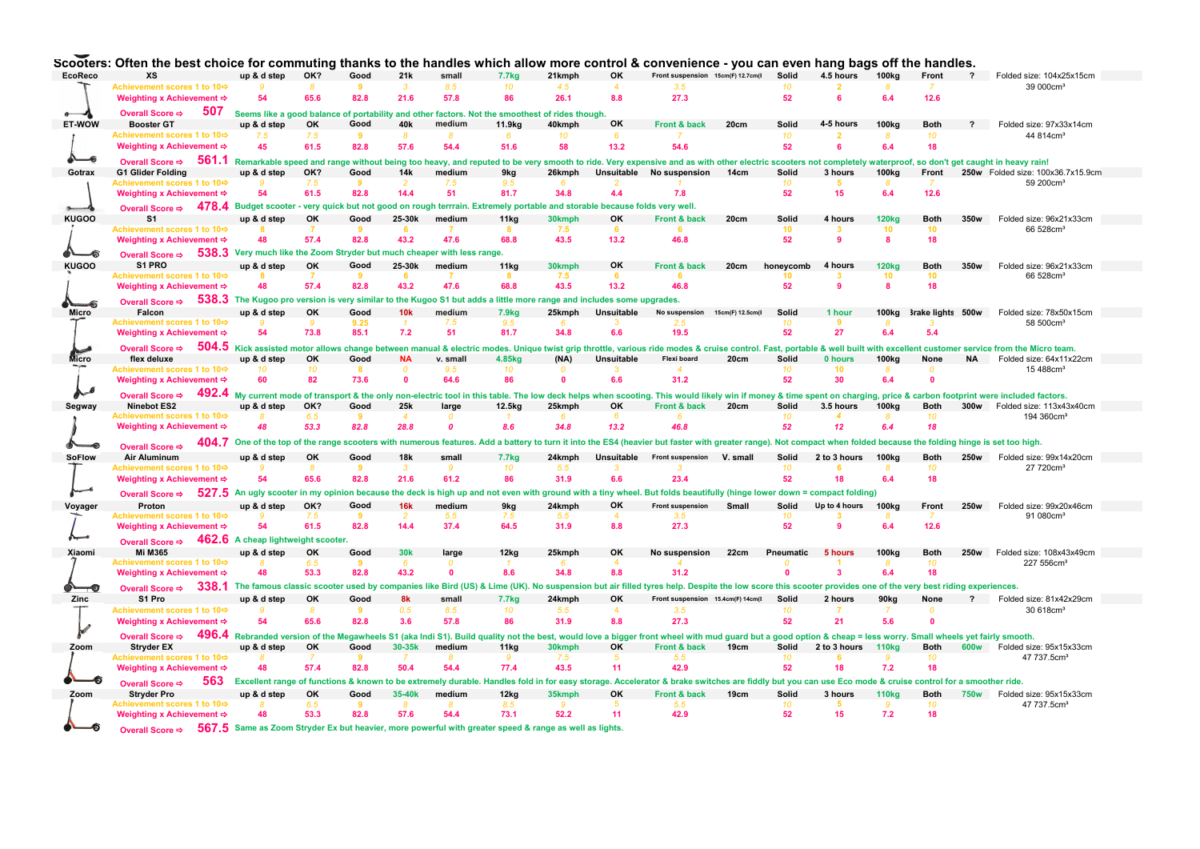|               | ocoolers. Onen the best choice for community thanks                                                                                                                                                                                     |                                                                                                |               |                |                         |                  |                   |            |                   | to the nanules which allow more control & convenience - you can even hang bags on                                                                                                                              |                  |                  |                 |                   | е папче».         |                         |                                   |  |
|---------------|-----------------------------------------------------------------------------------------------------------------------------------------------------------------------------------------------------------------------------------------|------------------------------------------------------------------------------------------------|---------------|----------------|-------------------------|------------------|-------------------|------------|-------------------|----------------------------------------------------------------------------------------------------------------------------------------------------------------------------------------------------------------|------------------|------------------|-----------------|-------------------|-------------------|-------------------------|-----------------------------------|--|
| EcoReco       | хs                                                                                                                                                                                                                                      | up & d step                                                                                    | OK?           | Good           | 21k                     | small            | 7.7 <sub>kg</sub> | 21kmph     | OK                | Front suspension 15cm(F) 12.7cm(I Solid                                                                                                                                                                        |                  |                  | 4.5 hours       | 100 <sub>kg</sub> | Front             | $\overline{\mathbf{?}}$ | Folded size: 104x25x15cm          |  |
|               | Achievement scores 1 to 10¢                                                                                                                                                                                                             |                                                                                                | $\mathcal{R}$ | $\overline{9}$ | $\overline{\mathbf{3}}$ | 8.5              | 10                | 4.5        | $\Delta$          | 3.5                                                                                                                                                                                                            |                  | 10 <sup>10</sup> |                 | 8                 | 7                 |                         | 39 000cm <sup>3</sup>             |  |
|               | Weighting x Achievement ⇒                                                                                                                                                                                                               | 54                                                                                             | 65.6          | 82.8           | 21.6                    | 57.8             | 86                | 26.1       | 8.8               | 27.3                                                                                                                                                                                                           |                  | 52               |                 | 6.4               | 12.6              |                         |                                   |  |
|               |                                                                                                                                                                                                                                         |                                                                                                |               |                |                         |                  |                   |            |                   |                                                                                                                                                                                                                |                  |                  |                 |                   |                   |                         |                                   |  |
|               | 507<br>Overall Score ⇒                                                                                                                                                                                                                  | Seems like a good balance of portability and other factors. Not the smoothest of rides though. |               |                |                         |                  |                   |            |                   |                                                                                                                                                                                                                |                  |                  |                 |                   |                   |                         |                                   |  |
| ET-WOW        | <b>Booster GT</b>                                                                                                                                                                                                                       | up & d step                                                                                    | OK            | Good           | 40k                     | medium           | 11.9kg            | 40kmph     | OK                | Front & back                                                                                                                                                                                                   | 20cm             | Solid            | 4-5 hours       | <b>100kg</b>      | <b>Both</b>       | $\mathbf{P}$            | Folded size: 97x33x14cm           |  |
|               | Achievement scores 1 to 10                                                                                                                                                                                                              | 7.5                                                                                            | 7.5           | 9              | R                       | 8                | -6                | 10         | 6                 |                                                                                                                                                                                                                |                  | 10               | $\overline{2}$  | 8                 | 10                |                         | 44 814cm <sup>3</sup>             |  |
|               | Weighting x Achievement ⇒                                                                                                                                                                                                               | 45                                                                                             | 61.5          | 82.8           | 57.6                    | 54.4             | 51.6              | 58         | 13.2              | 54.6                                                                                                                                                                                                           |                  | 52               | <b>R</b>        | 6.4               | 18                |                         |                                   |  |
|               |                                                                                                                                                                                                                                         |                                                                                                |               |                |                         |                  |                   |            |                   |                                                                                                                                                                                                                |                  |                  |                 |                   |                   |                         |                                   |  |
| -6            | Overall Score $\Rightarrow$ 561.1 Remarkable speed and range without being too heavy, and reputed to be very smooth to ride. Very expensive and as with other electric scooters not completely waterproof, so don't get caught in heavy |                                                                                                |               |                |                         |                  |                   |            |                   |                                                                                                                                                                                                                |                  |                  |                 |                   |                   |                         |                                   |  |
| Gotrax        | <b>G1 Glider Folding</b>                                                                                                                                                                                                                | up & d step                                                                                    | OK?           | Good           | 14k                     | medium           | 9kg               | 26kmph     |                   | Unsuitable No suspension 14cm                                                                                                                                                                                  |                  | Solid            | 3 hours         | 100 <sub>kg</sub> | Front             |                         | 250w Folded size: 100x36.7x15.9cm |  |
|               | Achievement scores 1 to 10                                                                                                                                                                                                              |                                                                                                | 7.5           | -9             |                         | 7.5              | 9.5               | -6         |                   |                                                                                                                                                                                                                |                  | 10 <sup>10</sup> | -5              |                   |                   |                         | 59 200cm <sup>3</sup>             |  |
|               | Weighting x Achievement ⇒                                                                                                                                                                                                               | 54                                                                                             | 61.5          | 82.8           | 14.4                    | 51               | 81.7              | 34.8       | 4.4               | 7.8                                                                                                                                                                                                            |                  | 52               | 15              | 6.4               | 12.6              |                         |                                   |  |
|               | Overall Score ⇒ 478.4 Budget scooter - very quick but not good on rough terrrain. Extremely portable and storable because folds very well.                                                                                              |                                                                                                |               |                |                         |                  |                   |            |                   |                                                                                                                                                                                                                |                  |                  |                 |                   |                   |                         |                                   |  |
|               |                                                                                                                                                                                                                                         |                                                                                                |               |                |                         |                  |                   |            |                   |                                                                                                                                                                                                                |                  |                  |                 |                   |                   |                         |                                   |  |
| <b>KUGOO</b>  | S <sub>1</sub>                                                                                                                                                                                                                          | up & d step                                                                                    | OK            | Good           | 25-30k                  | medium           | 11kg              | 30kmph     | OK                | Front & back                                                                                                                                                                                                   | 20cm             | Solid            | 4 hours         | <b>120kg</b>      | <b>Both</b>       | 350w                    | Folded size: 96x21x33cm           |  |
|               | Achievement scores 1 to 10¢                                                                                                                                                                                                             |                                                                                                |               | 9              | 6                       | 7                | -8                | 7.5        | 6                 |                                                                                                                                                                                                                |                  | 10 <sub>1</sub>  | -3              | 10                | 10                |                         | 66 528cm <sup>3</sup>             |  |
|               | Weighting x Achievement ⇒                                                                                                                                                                                                               | 48                                                                                             | 57.4          | 82.8           | 43.2                    | 47.6             | 68.8              | 43.5       | 13.2              | 46.8                                                                                                                                                                                                           |                  | 52               | $\mathbf{Q}$    | 8                 | 18                |                         |                                   |  |
| -6            | Overall Score $\Rightarrow$ 538.3 Very much like the Zoom Stryder but much cheaper with less range.                                                                                                                                     |                                                                                                |               |                |                         |                  |                   |            |                   |                                                                                                                                                                                                                |                  |                  |                 |                   |                   |                         |                                   |  |
|               |                                                                                                                                                                                                                                         |                                                                                                |               |                |                         |                  |                   |            |                   |                                                                                                                                                                                                                |                  |                  |                 |                   |                   |                         |                                   |  |
| <b>KUGOO</b>  | S1 PRO                                                                                                                                                                                                                                  | up & d step                                                                                    | OK            | Good           | 25-30k                  | medium           | 11 <sub>ka</sub>  | 30kmph     | OK                | Front & back                                                                                                                                                                                                   | 20cm             | honeycomb        | 4 hours         | <b>120kg</b>      | <b>Both</b>       | 350w                    | Folded size: 96x21x33cm           |  |
|               | Achievement scores 1 to 10⇔                                                                                                                                                                                                             |                                                                                                |               | -9             |                         |                  |                   | 7.5        | -6                |                                                                                                                                                                                                                |                  | 10               | 3               | 10                | 10                |                         | 66 528cm <sup>3</sup>             |  |
|               | Weighting x Achievement ⇒                                                                                                                                                                                                               | 48                                                                                             | 57.4          | 82.8           | 43.2                    | 47.6             | 68.8              | 43.5       | 13.2              | 46.8                                                                                                                                                                                                           |                  | 52               | $\mathbf{q}$    | 8                 | 18                |                         |                                   |  |
|               | Overall Score $\Rightarrow$ 538.3 The Kugoo pro version is very similar to the Kugoo S1 but adds a little more range and includes some upgrades.                                                                                        |                                                                                                |               |                |                         |                  |                   |            |                   |                                                                                                                                                                                                                |                  |                  |                 |                   |                   |                         |                                   |  |
| Micro         | Falcon                                                                                                                                                                                                                                  | up & d step                                                                                    | OK            | Good           | 10k                     | medium           | <b>7.9kg</b>      | 25kmph     | Unsuitable        | No suspension                                                                                                                                                                                                  | 15cm(F) 12.5cm(I | Solid            | 1 hour          | 100 <sub>kg</sub> | 3rake lights 500w |                         | Folded size: 78x50x15cm           |  |
|               | Achievement scores 1 to 10                                                                                                                                                                                                              |                                                                                                | -9            | 9.25           |                         | 7.5              | 9.5               |            |                   | 25                                                                                                                                                                                                             |                  | 10               | 9               |                   |                   |                         | 58 500cm <sup>3</sup>             |  |
|               | Weighting x Achievement ⇒                                                                                                                                                                                                               | 54                                                                                             | 73.8          | 85.1           | 7.2                     | 51               | 81.7              | 34.8       | 6.6               | 19.5                                                                                                                                                                                                           |                  | 52               | 27              | 6.4               | 5.4               |                         |                                   |  |
|               |                                                                                                                                                                                                                                         |                                                                                                |               |                |                         |                  |                   |            |                   |                                                                                                                                                                                                                |                  |                  |                 |                   |                   |                         |                                   |  |
|               | Overall Score $\div$ 504.5 Kick assisted motor allows change between manual & electric modes. Unique twist grip throttle, various ride modes & cruise control. Fast, portable & well built with excellent customer service from         |                                                                                                |               |                |                         |                  |                   |            |                   |                                                                                                                                                                                                                |                  |                  |                 |                   |                   |                         |                                   |  |
| Micro         | flex deluxe                                                                                                                                                                                                                             | up & d step                                                                                    | OK            | Good           | <b>NA</b>               | v. small         | 4.85kg            | (NA)       | <b>Unsuitable</b> | Flexi board                                                                                                                                                                                                    | 20cm             | Solid            | 0 hours         | 100 <sub>kg</sub> | None              | <b>NA</b>               | Folded size: 64x11x22cm           |  |
|               | Achievement scores 1 to 10⇔                                                                                                                                                                                                             | 10                                                                                             | 10            | $\mathbf{R}$   | $\Omega$                | 9.5              | 10                | $\sqrt{2}$ |                   |                                                                                                                                                                                                                |                  | 10               | 10 <sup>1</sup> | 8                 | $\Omega$          |                         | 15 488cm <sup>3</sup>             |  |
|               | Weighting x Achievement ⇒                                                                                                                                                                                                               | 60                                                                                             | 82            | 73.6           | $\Omega$                | 64.6             | 86                | $\bullet$  | 6.6               | 31.2                                                                                                                                                                                                           |                  | 52               | 30              | 6.4               | $\mathbf{0}$      |                         |                                   |  |
| $\sim$        |                                                                                                                                                                                                                                         |                                                                                                |               |                |                         |                  |                   |            |                   |                                                                                                                                                                                                                |                  |                  |                 |                   |                   |                         |                                   |  |
|               | Overall Score ⇒ 492.4 My current mode of transport & the only non-electric tool in this table. The low deck helps when scooting. This would likely win if money & time spent on charging, price & carbon footprint were inclu           |                                                                                                |               |                |                         |                  |                   |            |                   |                                                                                                                                                                                                                |                  |                  |                 |                   |                   |                         |                                   |  |
| Segway        | Ninebot ES2                                                                                                                                                                                                                             | up & d step                                                                                    | OK?           | Good           | 25 <sub>k</sub>         | large            | 12.5kg            | 25kmph     | OK                | Front & back 20cm                                                                                                                                                                                              |                  | Solid            | 3.5 hours       | 100 <sub>kg</sub> | <b>Both</b>       | 300w                    | Folded size: 113x43x40cm          |  |
|               | Achievement scores 1 to 10                                                                                                                                                                                                              |                                                                                                | 6.5           | 9              | $\overline{4}$          |                  |                   | 6          |                   |                                                                                                                                                                                                                |                  | 10 <sup>10</sup> |                 | 8                 | 10 <sup>10</sup>  |                         | 194 360cm <sup>3</sup>            |  |
|               | Weighting x Achievement ⇒                                                                                                                                                                                                               | 48                                                                                             | 53.3          | 82.8           | 28.8                    | $\boldsymbol{0}$ | 8.6               | 34.8       | 13.2              | 46.8                                                                                                                                                                                                           |                  | 52               | 12              | 6.4               | 18                |                         |                                   |  |
|               | 404.7                                                                                                                                                                                                                                   |                                                                                                |               |                |                         |                  |                   |            |                   | One of the top of the range scooters with numerous features. Add a battery to turn it into the ES4 (heavier but faster with greater range). Not compact when folded because the folding hinge is set too high. |                  |                  |                 |                   |                   |                         |                                   |  |
|               | Overall Score <>                                                                                                                                                                                                                        |                                                                                                |               |                |                         |                  |                   |            |                   |                                                                                                                                                                                                                |                  |                  |                 |                   |                   |                         |                                   |  |
| <b>SoFlow</b> |                                                                                                                                                                                                                                         |                                                                                                |               |                |                         |                  |                   |            |                   |                                                                                                                                                                                                                |                  |                  |                 |                   |                   |                         |                                   |  |
|               | Air Aluminum                                                                                                                                                                                                                            | up & d step                                                                                    | OK            | Good           | <b>18k</b>              | small            | <b>7.7kg</b>      | 24kmph     | Unsuitable        | Front suspension V. small                                                                                                                                                                                      |                  | Solid            | 2 to 3 hours    | 100kg             | <b>Both</b>       | 250w                    | Folded size: 99x14x20cm           |  |
|               | Achievement scores 1 to 10⇔                                                                                                                                                                                                             |                                                                                                | -8            | 9              | 3                       | 9                | 10                | 5.5        |                   |                                                                                                                                                                                                                |                  | 10               |                 | 8                 | 10                |                         | 27 720cm <sup>3</sup>             |  |
|               | Weighting x Achievement ⇒                                                                                                                                                                                                               | 54                                                                                             | 65.6          | 82.8           | 21.6                    | 61.2             | 86                | 31.9       | 6.6               | 23.4                                                                                                                                                                                                           |                  | 52               | 18              | 6.4               | 18                |                         |                                   |  |
|               |                                                                                                                                                                                                                                         |                                                                                                |               |                |                         |                  |                   |            |                   |                                                                                                                                                                                                                |                  |                  |                 |                   |                   |                         |                                   |  |
|               | Overall Score <b>⇒</b>                                                                                                                                                                                                                  |                                                                                                |               |                |                         |                  |                   |            |                   | 527.5 An ugly scooter in my opinion because the deck is high up and not even with ground with a tiny wheel. But folds beautifully (hinge lower down = compact folding)                                         |                  |                  |                 |                   |                   |                         |                                   |  |
| Voyager       | Proton                                                                                                                                                                                                                                  | up & d step                                                                                    | OK?           | Good           | <b>16k</b>              | medium           | 9kg               | 24kmph     | OK                | Front suspension                                                                                                                                                                                               | Small            | Solid            | Up to 4 hours   | 100 <sub>kg</sub> | Front             | 250w                    | Folded size: 99x20x46cm           |  |
|               | Achievement scores 1 to 10¢                                                                                                                                                                                                             |                                                                                                | 7.5           | -9             |                         | 5.5              | 7.5               | 5.5        |                   | 35                                                                                                                                                                                                             |                  | 10               |                 |                   |                   |                         | 91 080cm <sup>3</sup>             |  |
|               | Weighting x Achievement ⇒                                                                                                                                                                                                               | 54                                                                                             | 61.5          | 82.8           | 14.4                    | 37.4             | 64.5              | 31.9       | 8.8               | 27.3                                                                                                                                                                                                           |                  | 52               |                 | 6.4               | 12.6              |                         |                                   |  |
|               | Overall Score $\Rightarrow$ 462.6 A cheap lightweight scooter.                                                                                                                                                                          |                                                                                                |               |                |                         |                  |                   |            |                   |                                                                                                                                                                                                                |                  |                  |                 |                   |                   |                         |                                   |  |
|               |                                                                                                                                                                                                                                         |                                                                                                |               |                |                         |                  |                   |            |                   |                                                                                                                                                                                                                |                  |                  |                 |                   |                   |                         |                                   |  |
| Xiaomi        | Mi M365                                                                                                                                                                                                                                 | up & d step                                                                                    | OK            | Good           | 30 <sub>k</sub>         | large            | 12kg              | 25kmph     | OK                | No suspension                                                                                                                                                                                                  | 22cm             | Pneumatic        | 5 hours         | 100 <sub>kg</sub> | <b>Both</b>       | 250w                    | Folded size: 108x43x49cm          |  |
|               | Achievement scores 1 to 10¢                                                                                                                                                                                                             |                                                                                                | 6.5           | -9             | 6                       |                  |                   |            |                   |                                                                                                                                                                                                                |                  |                  |                 | 8                 | 10                |                         | 227 556cm <sup>3</sup>            |  |
|               | Weighting x Achievement ⇒                                                                                                                                                                                                               | A <sub>R</sub>                                                                                 | 53.3          | 82.8           | 43.2                    | $\Omega$         | 8.6               | 34.8       | 8.8               | 31.2                                                                                                                                                                                                           |                  | $\mathbf{a}$     | $\mathbf{R}$    | 6.4               | 18                |                         |                                   |  |
| ⊸             | Overall Score $\div$ 338.1 The famous classic scooter used by companies like Bird (US) & Lime (UK). No suspension but air filled tyres help. Despite the low score this scooter provides one of the very best riding experience         |                                                                                                |               |                |                         |                  |                   |            |                   |                                                                                                                                                                                                                |                  |                  |                 |                   |                   |                         |                                   |  |
| Zinc          | S1 Pro                                                                                                                                                                                                                                  | up & d step                                                                                    | OK            | Good           | 8k                      | small            | <b>7.7kg</b>      | 24kmph     | OK                | Front suspension 15.4cm(F) 14cm(E                                                                                                                                                                              |                  | Solid            | 2 hours         | 90ka              | None              |                         | ? Folded size: 81x42x29cm         |  |
|               | Achievement scores 1 to 10                                                                                                                                                                                                              |                                                                                                | -8            | -9             | 0.5                     | 8.5              | 10                | 5.5        | $\Delta$          | 3.5                                                                                                                                                                                                            |                  | 10 <sup>10</sup> |                 |                   | $\Omega$          |                         | 30 618cm <sup>3</sup>             |  |
|               |                                                                                                                                                                                                                                         |                                                                                                |               |                |                         |                  |                   |            |                   |                                                                                                                                                                                                                |                  |                  |                 |                   |                   |                         |                                   |  |
|               | Weighting x Achievement ⇒                                                                                                                                                                                                               | 54                                                                                             | 65.6          | 82.8           | 3.6                     | 57.8             | 86                | 31.9       | 8.8               | 27.3                                                                                                                                                                                                           |                  | 52               | 21              | 5.6               | $\sqrt{2}$        |                         |                                   |  |
|               | Overall Score ⇒                                                                                                                                                                                                                         |                                                                                                |               |                |                         |                  |                   |            |                   | 496.4 Rebranded version of the Megawheels S1 (aka Indi S1). Build quality not the best, would love a bigger front wheel with mud guard but a good option & cheap = less worry. Small wheels yet fairly smooth. |                  |                  |                 |                   |                   |                         |                                   |  |
| Zoom          | <b>Stryder EX</b>                                                                                                                                                                                                                       | up & d step                                                                                    | OK            | Good           | 30-35k                  | medium           | 11kg              | 30kmph     | OK                | Front & back                                                                                                                                                                                                   | 19cm             | Solid            | 2 to 3 hours    | 110 <sub>kg</sub> | <b>Both</b>       |                         | 600w Folded size: 95x15x33cm      |  |
|               | Achievement scores 1 to 10                                                                                                                                                                                                              |                                                                                                |               | ٠q             |                         | 8                |                   | 7.5        | -5                | 5.5                                                                                                                                                                                                            |                  | 10               |                 | g                 | 10                |                         | 47 737.5cm <sup>3</sup>           |  |
|               | Weighting x Achievement ⇒                                                                                                                                                                                                               |                                                                                                | 57.4          | 82.8           | 50.4                    | 54.4             | 77.4              | 43.5       | 11                | 42.9                                                                                                                                                                                                           |                  | 52               | 18              | 7.2               | 18                |                         |                                   |  |
|               |                                                                                                                                                                                                                                         |                                                                                                |               |                |                         |                  |                   |            |                   |                                                                                                                                                                                                                |                  |                  |                 |                   |                   |                         |                                   |  |
| -6            | 563<br>Overall Score →                                                                                                                                                                                                                  |                                                                                                |               |                |                         |                  |                   |            |                   | Excellent range of functions & known to be extremely durable. Handles fold in for easy storage. Accelerator & brake switches are fiddly but you can use Eco mode & cruise control for a smoother ride.         |                  |                  |                 |                   |                   |                         |                                   |  |
| Zoom          | <b>Stryder Pro</b>                                                                                                                                                                                                                      | up & d step                                                                                    | OK            | Good           | 35-40 <sub>k</sub>      | medium           | 12kg              | 35kmph     | OK                | Front & back                                                                                                                                                                                                   | 19cm             | Solid            | 3 hours         | <b>110kg</b>      | <b>Both</b>       | 750w                    | Folded size: 95x15x33cm           |  |
|               | Achievement scores 1 to 10                                                                                                                                                                                                              |                                                                                                | 6.5           |                |                         |                  | 8.5               |            |                   |                                                                                                                                                                                                                |                  | 10               |                 | ٠                 | 10                |                         | 47 737.5cm <sup>3</sup>           |  |
| -6            | Weighting x Achievement ⇒<br>Overall Score ⇒ 567.5 Same as Zoom Stryder Ex but heavier, more powerful with greater speed & range as well as lights.                                                                                     | 48                                                                                             | 53.3          | 82.8           | 57.6                    | 54.4             | 73.1              | 52.2       | 11                | 42.9                                                                                                                                                                                                           |                  | 52               | 15              | 7.2               | 18                |                         |                                   |  |

Constant Often the best chains for commuting thenks to the bendles which ellew more central 8 commutings, way can such bear off the bendles

Overall Score ⇔ 567.5 Same as Zoom Stryder Ex but heavier, more powerful with greater speed & range as well as lights. ☜